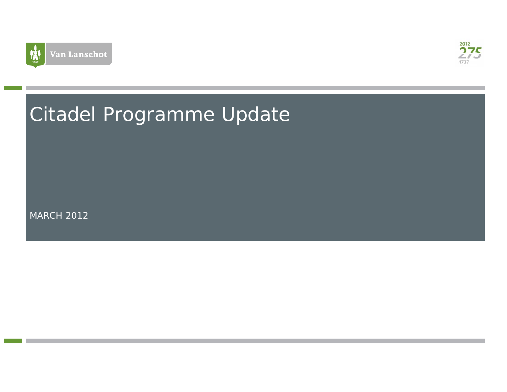



# Citadel Programme Update

MARCH 2012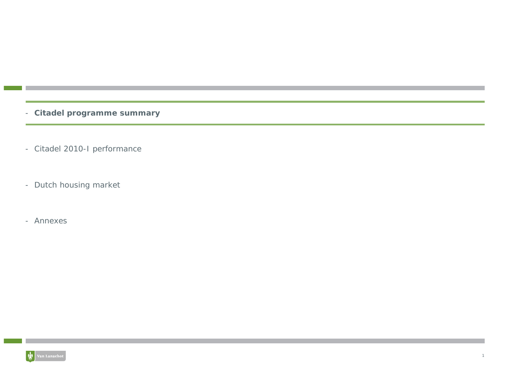- **Citadel programme summary**
- Citadel 2010-I performance
- Dutch housing market
- Annexes

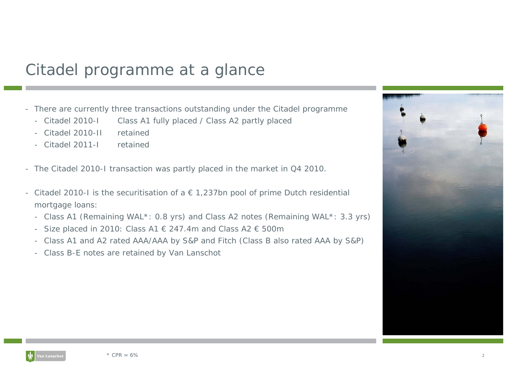# Citadel programme at a glance

- There are currently three transactions outstanding under the Citadel programme
	- Citadel 2010-I Class A1 fully placed / Class A2 partly placed
	- Citadel 2010-II retained
	- Citadel 2011-I retained
- The Citadel 2010-I transaction was partly placed in the market in Q4 2010.
- Citadel 2010-I is the securitisation of a € 1,237bn pool of prime Dutch residential mortgage loans:
	- Class A1 (Remaining WAL\*: 0.8 yrs) and Class A2 notes (Remaining WAL\*: 3.3 yrs)
	- -Size placed in 2010: Class A1  $\in$  247.4m and Class A2  $\in$  500m
	- Class A1 and A2 rated AAA/AAA by S&P and Fitch (Class B also rated AAA by S&P)
	- Class B-E notes are retained by Van Lanschot



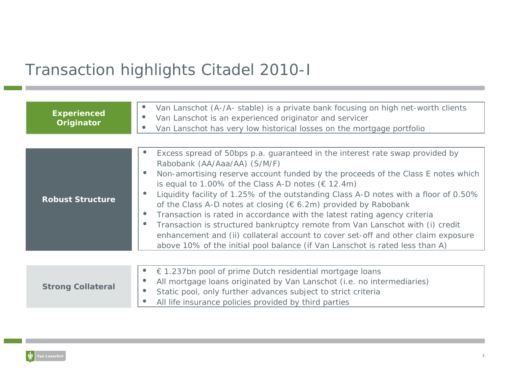# Transaction highlights Citadel 2010-I

| <b>Experienced</b><br>Originator | Van Lanschot (A-/A- stable) is a private bank focusing on high net-worth clients<br>Van Lanschot is an experienced originator and servicer<br>Van Lanschot has very low historical losses on the mortgage portfolio                                                                                                                                                                                                                                                                                                                                                                                                                                                                                                                                                 |
|----------------------------------|---------------------------------------------------------------------------------------------------------------------------------------------------------------------------------------------------------------------------------------------------------------------------------------------------------------------------------------------------------------------------------------------------------------------------------------------------------------------------------------------------------------------------------------------------------------------------------------------------------------------------------------------------------------------------------------------------------------------------------------------------------------------|
|                                  |                                                                                                                                                                                                                                                                                                                                                                                                                                                                                                                                                                                                                                                                                                                                                                     |
| <b>Robust Structure</b>          | Excess spread of 50bps p.a. guaranteed in the interest rate swap provided by<br>Rabobank (AA/Aaa/AA) (S/M/F)<br>Non-amortising reserve account funded by the proceeds of the Class E notes which<br>is equal to 1.00% of the Class A-D notes ( $\in$ 12.4m)<br>Liquidity facility of 1.25% of the outstanding Class A-D notes with a floor of 0.50%<br>of the Class A-D notes at closing ( $\epsilon$ 6.2m) provided by Rabobank<br>Transaction is rated in accordance with the latest rating agency criteria<br>Transaction is structured bankruptcy remote from Van Lanschot with (i) credit<br>enhancement and (ii) collateral account to cover set-off and other claim exposure<br>above 10% of the initial pool balance (if Van Lanschot is rated less than A) |
| <b>Strong Collateral</b>         | $\epsilon$ 1.237bn pool of prime Dutch residential mortgage loans<br>$\bullet$<br>All mortgage loans originated by Van Lanschot (i.e. no intermediaries)<br>Static pool, only further advances subject to strict criteria<br>$\bullet$<br>All life insurance policies provided by third parties                                                                                                                                                                                                                                                                                                                                                                                                                                                                     |

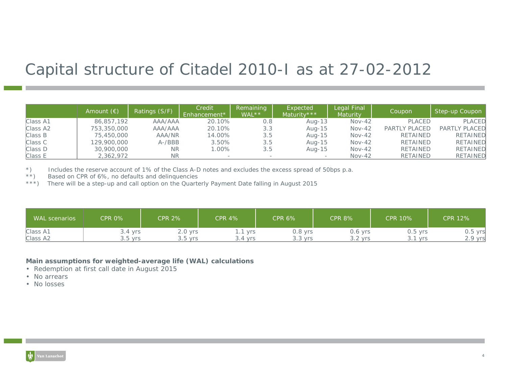# Capital structure of Citadel 2010-I as at 27-02-2012

|          | Amount $(\epsilon)$ | Ratings (S/F) | Credit<br>Enhancement* | Remaining<br>WAL** | Expected<br>Maturity *** | Legal Final<br><b>Maturity</b> | Coupon               | Step-up Coupon  |
|----------|---------------------|---------------|------------------------|--------------------|--------------------------|--------------------------------|----------------------|-----------------|
| Class A1 | 86,857,192          | AAA/AAA       | 20.10%                 | 0.8                | Aug-13                   | $Nov-42$                       | <b>PLACED</b>        | <b>PLACED</b>   |
| Class A2 | 753,350,000         | AAA/AAA       | 20.10%                 | 3.3                | Aug-15                   | $Nov-42$                       | <b>PARTLY PLACED</b> | PARTLY PLACED   |
| Class B  | 75,450,000          | AAA/NR        | 14.00%                 | 3.5                | Aug-15                   | $Nov-42$                       | <b>RETAINED</b>      | <b>RETAINED</b> |
| Class C  | 129,900,000         | $A - /BBB$    | 3.50%                  | 3.5                | Aug-15                   | $Nov-42$                       | <b>RETAINED</b>      | <b>RETAINED</b> |
| Class D  | 30,900,000          | ΝR            | $.00\%$                | 3.5                | Aug-15                   | $Nov-42$                       | RETAINED             | <b>RETAINED</b> |
| Class E  | 2,362,972           | <b>NR</b>     |                        |                    |                          | $Nov-42$                       | <b>RETAINED</b>      | <b>RETAINED</b> |

\*) Includes the reserve account of 1% of the Class A-D notes and excludes the excess spread of 50bps p.a.<br>\*\*) Based on CPR of 6%, no defaults and delinguencies

Based on CPR of 6%, no defaults and delinquencies

\*\*\*) There will be a step-up and call option on the Quarterly Payment Date falling in August 2015

| <b>WAL</b> scenarios | <b>CPR 0%</b> | <b>CPR 2%</b> | <b>CPR 4%</b>  | <b>CPR 6%</b> | <b>CPR 8%</b> | <b>CPR 10%</b>    | <b>CPR 12%</b> |
|----------------------|---------------|---------------|----------------|---------------|---------------|-------------------|----------------|
| Class A1             | $3.4$ yrs     | $2.0$ yrs     | .1 vrs         | $0.8$ yrs     | $0.6$ yrs     | $0.5$ yrs         | 0.5 yrsl       |
| Class A2             | $3.5$ vrs     | $3.5$ yrs     | 3.4 vrs<br>. ب | $3.3$ yrs     | $3.2$ yrs     | <b>Vrs</b><br>. J | .9 yrs         |

### **Main assumptions for weighted-average life (WAL) calculations**

- Redemption at first call date in August 2015
- No arrears
- No losses

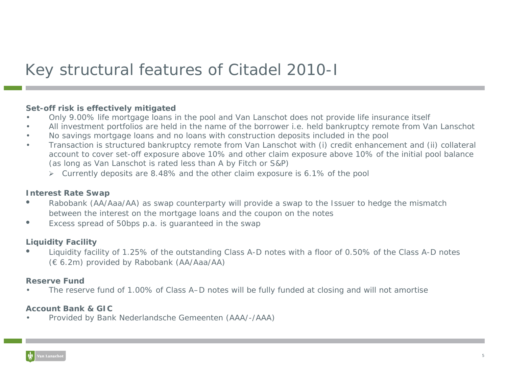# Key structural features of Citadel 2010-I

### **Set-off risk is effectively mitigated**

- •Only 9.00% life mortgage loans in the pool and Van Lanschot does not provide life insurance itself
- •All investment portfolios are held in the name of the borrower i.e. held bankruptcy remote from Van Lanschot
- •No savings mortgage loans and no loans with construction deposits included in the pool
- • Transaction is structured bankruptcy remote from Van Lanschot with (i) credit enhancement and (ii) collateral account to cover set-off exposure above 10% and other claim exposure above 10% of the initial pool balance (as long as Van Lanschot is rated less than A by Fitch or S&P)
	- ¾ Currently deposits are 8.48% and the other claim exposure is 6.1% of the pool

### **Interest Rate Swap**

- $\bullet$  Rabobank (AA/Aaa/AA) as swap counterparty will provide a swap to the Issuer to hedge the mismatch between the interest on the mortgage loans and the coupon on the notes
- $\bullet$ Excess spread of 50bps p.a. is guaranteed in the swap

### **Liquidity Facility**

• Liquidity facility of 1.25% of the outstanding Class A-D notes with a floor of 0.50% of the Class A-D notes (€ 6.2m) provided by Rabobank (AA/Aaa/AA)

### **Reserve Fund**

•The reserve fund of 1.00% of Class A–D notes will be fully funded at closing and will not amortise

### **Account Bank & GIC**

•Provided by Bank Nederlandsche Gemeenten (AAA/-/AAA)

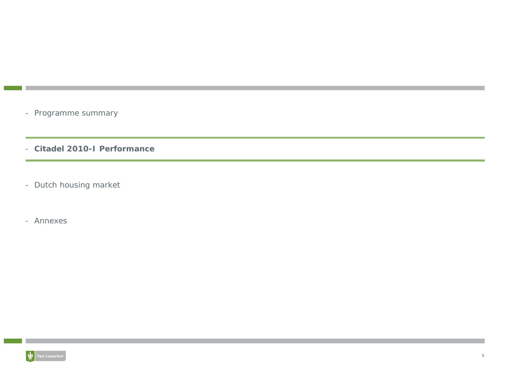- Programme summary
- **Citadel 2010-I Performance**
- Dutch housing market
- Annexes

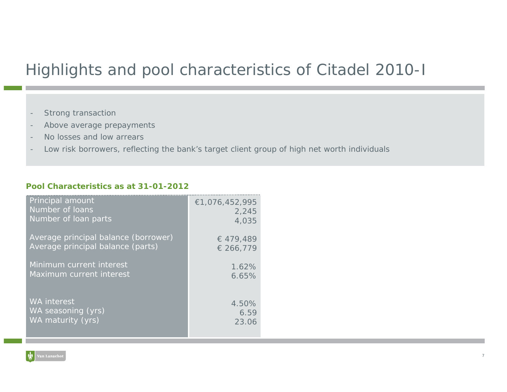# Highlights and pool characteristics of Citadel 2010-I

- **Positrical Characteristics as a per 31 AP**  $\sim$  31 January 2012 and 31 January 2012 -
- -Above average prepayments
- No losses and low arrears
- -Low risk borrowers, reflecting the bank's target client group of high net worth individuals

### **Pool Characteristics as at 31-01-2012**

| Principal amount                     | €1,076,452,995 |
|--------------------------------------|----------------|
| Number of loans                      | 2,245          |
| Number of loan parts                 | 4,035          |
| Average principal balance (borrower) | € 479,489      |
| Average principal balance (parts)    | € 266,779      |
| Minimum current interest             | 1.62%          |
| Maximum current interest             | 6.65%          |
| <b>WA</b> interest                   | 4.50%          |
| WA seasoning (yrs)                   | 6.59           |
| WA maturity (yrs)                    | 23.06          |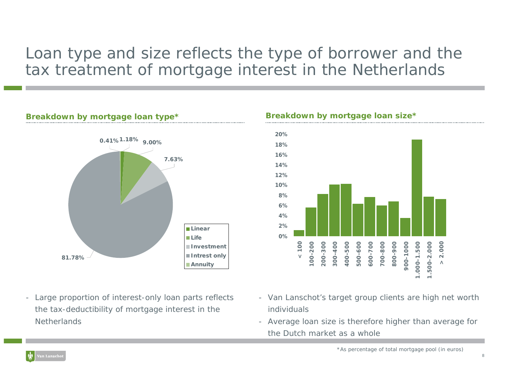# Loan type and size reflects the type of borrower and the tax treatment of mortgage interest in the Netherlands

### **Breakdown by mortgage loan type\* Breakdown by mortgage loan size\***



- Large proportion of interest-only loan parts reflects the tax-deductibility of mortgage interest in the **Netherlands** 

### **20%18%16%14%12%10%8%6%4%2%0%**200-300 300-400 400-500 500-600 600-700 2.000 **< 100** 700-800 800-900 900-1000 000-1.500 500-2.000 **> 2.000**00-200 **100-200 200-300 300-400 400-500 500-600 600-700 700-800 800-900 900-1000 1.000-1.500 1.500-2.000**  $\wedge$

- Van Lanschot's target group clients are high net worth individuals
- Average loan size is therefore higher than average for the Dutch market as a whole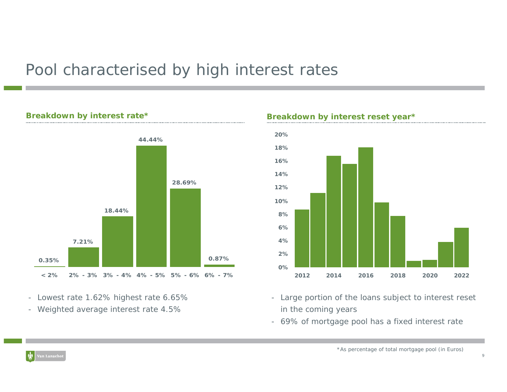# Pool characterised by high interest rates

### **Breakdown by interest rate\***



- Lowest rate 1.62% highest rate 6.65%

- Weighted average interest rate 4.5%



**Breakdown by interest reset year\***

- Large portion of the loans subject to interest reset in the coming years
- 69% of mortgage pool has a fixed interest rate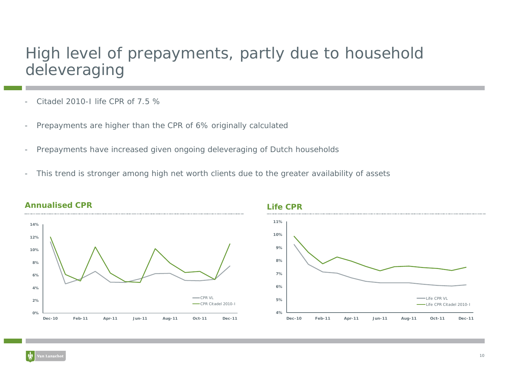# High level of prepayments, partly due to household deleveraging

- -Citadel 2010-I life CPR of 7.5 %
- -Prepayments are higher than the CPR of 6% originally calculated
- -Prepayments have increased given ongoing deleveraging of Dutch households
- -This trend is stronger among high net worth clients due to the greater availability of assets





### **Annualised CPR**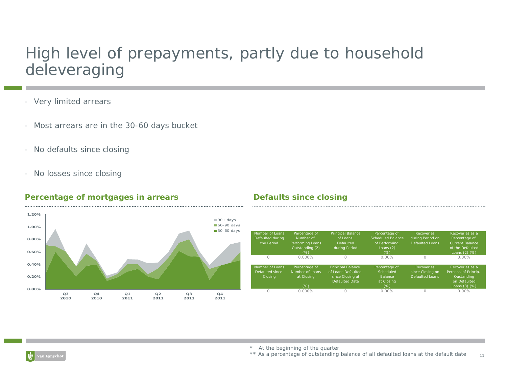# High level of prepayments, partly due to household deleveraging

- Very limited arrears
- Most arrears are in the 30-60 days bucket
- No defaults since closing
- No losses since closing

### **Percentage of mortgages in arrears befaults since closing**

### **0.00%0.20%0.40%0.60%0.80%1.00%1.20%Q3 2010Q4 2010Q1 2011Q2 2011Q3 2011Q4 2011**90+ days 60-90 days 30-60 days

| Number of Loans<br>Defaulted during<br>the Period | Percentage of<br>Number of<br>Performing Loans<br>Outstanding (2)<br>(%) | <b>Principal Balance</b><br>of Loans<br>Defaulted<br>during Period                          | Percentage of<br>Scheduled Balance<br>of Performina<br>Loans $(2)$<br>$(\%)$ | <b>Recoveries</b><br>during Period on<br>Defaulted Loans | Recoveries as a<br>Percentage of<br><b>Current Balance</b><br>of the Defaulted<br>Loans (2) (%) |
|---------------------------------------------------|--------------------------------------------------------------------------|---------------------------------------------------------------------------------------------|------------------------------------------------------------------------------|----------------------------------------------------------|-------------------------------------------------------------------------------------------------|
| $\Omega$                                          | $0.000\%$                                                                | $\Omega$                                                                                    | $0.00\%$                                                                     | $\Omega$                                                 | $0.00\%$                                                                                        |
| Number of Loans<br>Defaulted since<br>Closina     | Percentage of<br>Number of Loans<br>at Closing                           | <b>Principal Balance</b><br>of Loans Defaulted<br>since Closing at<br><b>Defaulted Date</b> | Percentage of<br>Scheduled<br><b>Balance</b><br>at Closing                   | Recoveries<br>since Closing on<br>Defaulted Loans        | Recoveries as a<br>Percent. of Princip.<br>Oustanding<br>on Defaulted                           |
|                                                   | (%)                                                                      |                                                                                             | $(\%)$                                                                       |                                                          | Loans (3) (%)                                                                                   |
|                                                   | $0.000\%$                                                                |                                                                                             | $0.00\%$                                                                     | $\Omega$                                                 | $0.00\%$                                                                                        |

\* At the beginning of the quarter

11\*\* As a percentage of outstanding balance of all defaulted loans at the default date



 $1.1.1.1.1.1$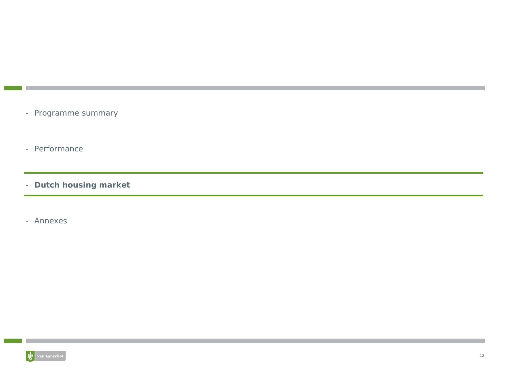- Programme summary
- Performance
- **Dutch housing market**
- Annexes

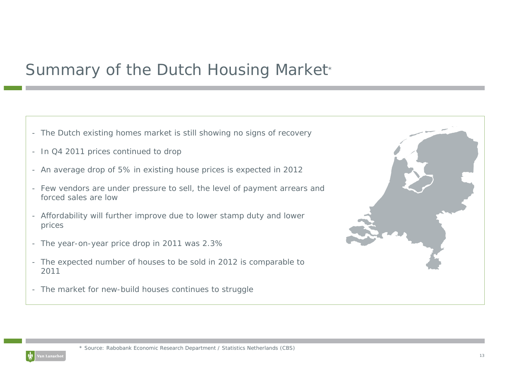# Summary of the Dutch Housing Market\*

- The Dutch existing homes market is still showing no signs of recovery
- In Q4 2011 prices continued to drop
- An average drop of 5% in existing house prices is expected in 2012
- Few vendors are under pressure to sell, the level of payment arrears and forced sales are low
- Affordability will further improve due to lower stamp duty and lower prices
- The year-on-year price drop in 2011 was 2.3%
- The expected number of houses to be sold in 2012 is comparable to 2011
- The market for new-build houses continues to struggle



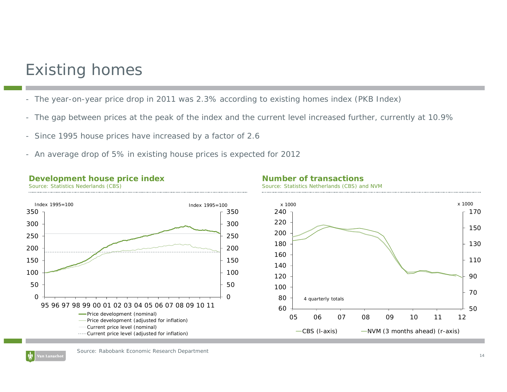# Existing homes

- The year-on-year price drop in 2011 was 2.3% according to existing homes index (PKB Index)
- The gap between prices at the peak of the index and the current level increased further, currently at 10.9%
- Since 1995 house prices have increased by a factor of 2.6
- An average drop of 5% in existing house prices is expected for 2012

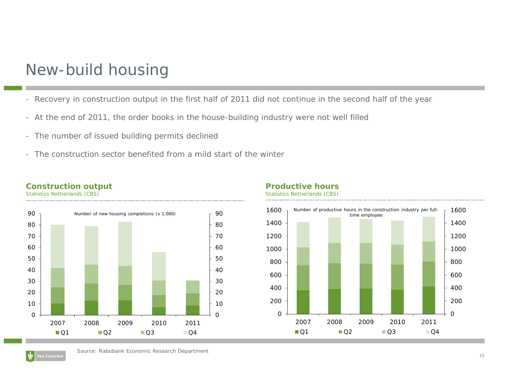## New-build housing

- Recovery in construction output in the first half of 2011 did not continue in the second half of the year
- At the end of 2011, the order books in the house-building industry were not well filled
- The number of issued building permits declined
- The construction sector benefited from a mild start of the winter

### **Construction output**

Statistics Netherlands (CBS)



### **Productive hours**



Statistics Netherlands (CBS)

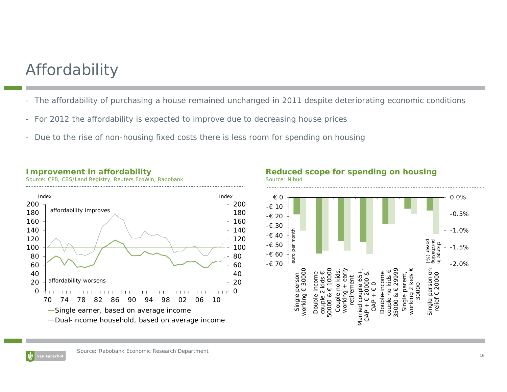# Affordability

- The affordability of purchasing a house remained unchanged in 2011 despite deteriorating economic conditions
- For 2012 the affordability is expected to improve due to decreasing house prices
- Due to the rise of non-housing fixed costs there is less room for spending on housing



### **Improvement in affordability**

.<br>Van Lanscho

Source: CPB, CBS/Land Registry, Reuters EcoWin, Rabobank



### **Reduced scope for spending on housing** Source: Nibud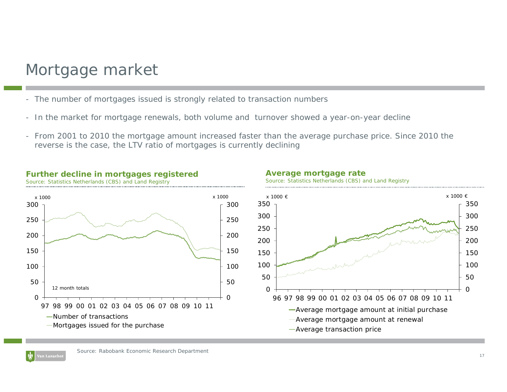# Mortgage market

**Further decline in mortgages registered**

Source: Statistics Netherlands (CBS) and Land Registry

- The number of mortgages issued is strongly related to transaction numbers
- In the market for mortgage renewals, both volume and turnover showed a year-on-year decline
- From 2001 to 2010 the mortgage amount increased faster than the average purchase price. Since 2010 the reverse is the case, the LTV ratio of mortgages is currently declining



### **Average mortgage rate**





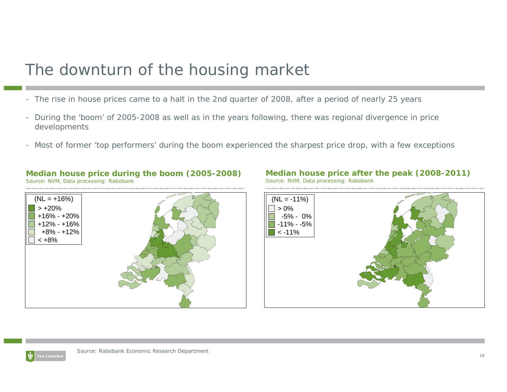# The downturn of the housing market

- The rise in house prices came to a halt in the 2nd quarter of 2008, after a period of nearly 25 years
- During the 'boom' of 2005-2008 as well as in the years following, there was regional divergence in price developments
- Most of former 'top performers' during the boom experienced the sharpest price drop, with a few exceptions

# $(NL = +16%)$  $> +20%$ +16% - +20%+12% - +16%+8% - +12% $< +8%$

**Median house price during the boom (2005-2008)**

Source: NVM, Data processing: Rabobank





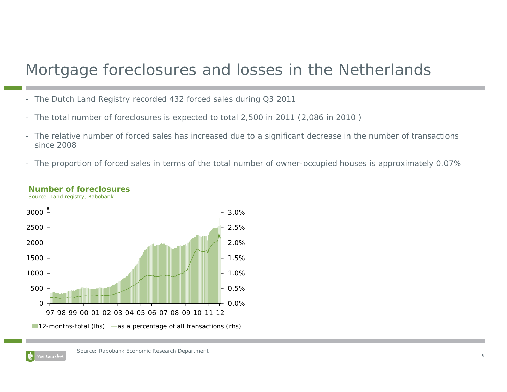# Mortgage foreclosures and losses in the Netherlands

- The Dutch Land Registry recorded 432 forced sales during Q3 2011
- The total number of foreclosures is expected to total 2,500 in 2011 (2,086 in 2010 )
- The relative number of forced sales has increased due to a significant decrease in the number of transactions since 2008
- The proportion of forced sales in terms of the total number of owner-occupied houses is approximately 0.07%



### **Number of foreclosures**

Source: Land registry, Rabobank

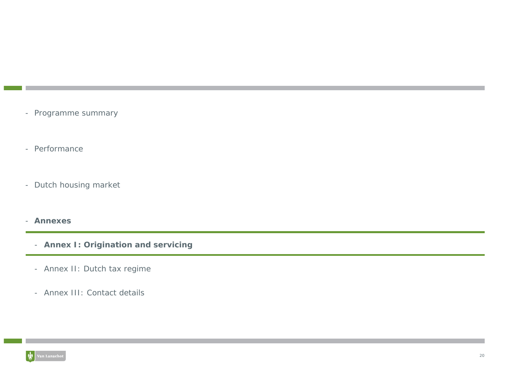- Programme summary
- Performance
- Dutch housing market
- **Annexes**
	- **Annex I: Origination and servicing**
	- Annex II: Dutch tax regime
	- Annex III: Contact details

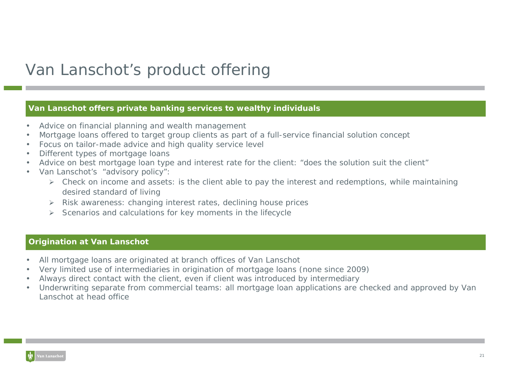# Van Lanschot's product offering

### **Van Lanschot offers private banking services to wealthy individuals**

- •Advice on financial planning and wealth management
- •Mortgage loans offered to target group clients as part of a full-service financial solution concept
- •Focus on tailor-made advice and high quality service level
- •Different types of mortgage loans
- •Advice on best mortgage loan type and interest rate for the client: "does the solution suit the client"
- • Van Lanschot's "advisory policy":
	- ¾ Check on income and assets: is the client able to pay the interest and redemptions, while maintaining desired standard of living
	- ¾ Risk awareness: changing interest rates, declining house prices
	- ¾ Scenarios and calculations for key moments in the lifecycle

### **Origination at Van Lanschot**

- •All mortgage loans are originated at branch offices of Van Lanschot
- •Very limited use of intermediaries in origination of mortgage loans (none since 2009)
- •Always direct contact with the client, even if client was introduced by intermediary
- • Underwriting separate from commercial teams: all mortgage loan applications are checked and approved by Van Lanschot at head office

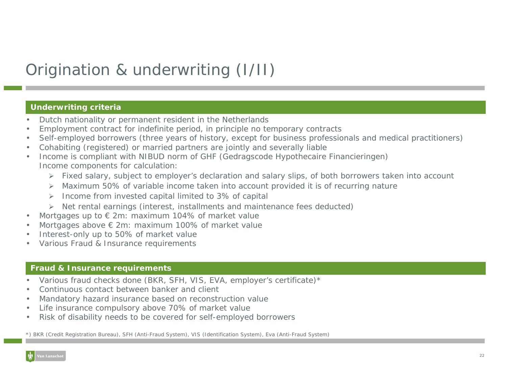# Origination & underwriting (I/II)

### **Underwriting criteria**

- •Dutch nationality or permanent resident in the Netherlands
- •Employment contract for indefinite period, in principle no temporary contracts
- •Self-employed borrowers (three years of history, except for business professionals and medical practitioners)
- •Cohabiting (registered) or married partners are jointly and severally liable
- • Income is compliant with NIBUD norm of GHF (*Gedragscode Hypothecaire Financieringen*) Income components for calculation:
	- ¾ Fixed salary, subject to employer's declaration and salary slips, of both borrowers taken into account
	- ¾ Maximum 50% of variable income taken into account provided it is of recurring nature
	- ¾ Income from invested capital limited to 3% of capital
	- ¾ Net rental earnings (interest, installments and maintenance fees deducted)
- •Mortgages up to € 2m: maximum 104% of market value
- •Mortgages above € 2m: maximum 100% of market value
- •Interest-only up to 50% of market value
- •Various Fraud & Insurance requirements

### **Fraud & Insurance requirements**

- •Various fraud checks done (BKR, SFH, VIS, EVA, employer's certificate)\*
- •Continuous contact between banker and client
- •Mandatory hazard insurance based on reconstruction value
- •Life insurance compulsory above 70% of market value
- •Risk of disability needs to be covered for self-employed borrowers

*\*) BKR (Credit Registration Bureau), SFH (Anti-Fraud System), VIS (Identification System), Eva (Anti-Fraud System)*

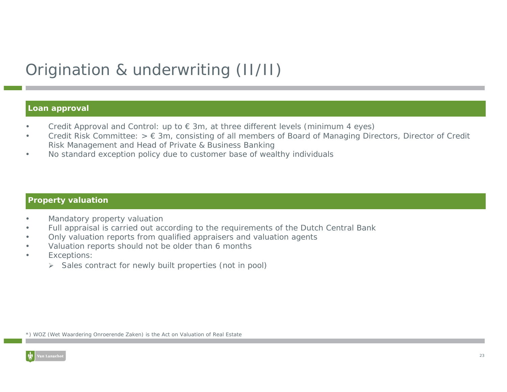# Origination & underwriting (II/II)

### **Loan approval**

- •Credit Approval and Control: up to  $\epsilon$  3m, at three different levels (minimum 4 eyes)
- • Credit Risk Committee: > € 3m, consisting of all members of Board of Managing Directors, Director of Credit Risk Management and Head of Private & Business Banking
- •No standard exception policy due to customer base of wealthy individuals

### **Property valuation**

- •Mandatory property valuation
- •Full appraisal is carried out according to the requirements of the Dutch Central Bank
- •Only valuation reports from qualified appraisers and valuation agents
- •Valuation reports should not be older than 6 months
- • Exceptions:
	- ¾ Sales contract for newly built properties (not in pool)

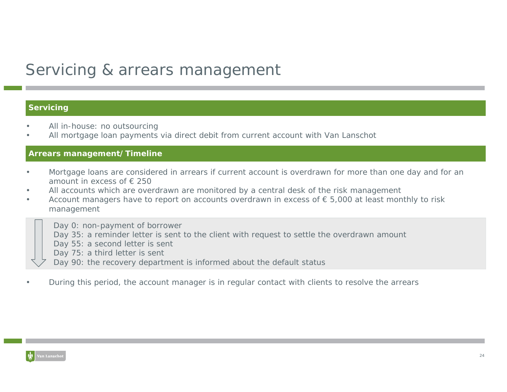# Servicing & arrears management

### **Servicing**

- •All in-house: no outsourcing
- •All mortgage loan payments via direct debit from current account with Van Lanschot

### **Arrears management/Timeline**

- • Mortgage loans are considered in arrears if current account is overdrawn for more than one day and for an amount in excess of € 250
- •All accounts which are overdrawn are monitored by a central desk of the risk management
- •Account managers have to report on accounts overdrawn in excess of  $\epsilon$  5,000 at least monthly to risk management

Day 0: non-payment of borrower

- Day 35: a reminder letter is sent to the client with request to settle the overdrawn amount
- Day 55: a second letter is sent
- Day 75: a third letter is sent
- Day 90: the recovery department is informed about the default status
- •During this period, the account manager is in regular contact with clients to resolve the arrears

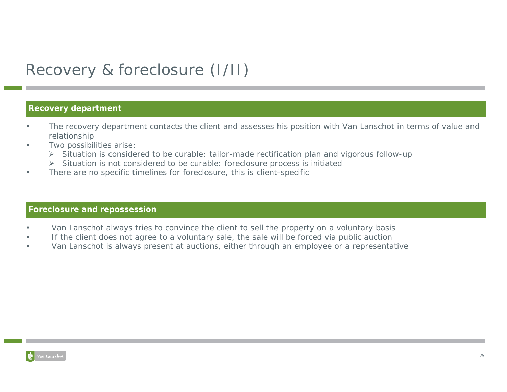# Recovery & foreclosure (I/II)

### **Recovery department**

- • The recovery department contacts the client and assesses his position with Van Lanschot in terms of value and relationship
- • Two possibilities arise:
	- ¾ Situation is considered to be curable: tailor-made rectification plan and vigorous follow-up
	- ¾ Situation is not considered to be curable: foreclosure process is initiated
- •There are no specific timelines for foreclosure, this is client-specific

### **Foreclosure and repossession**

- •Van Lanschot always tries to convince the client to sell the property on a voluntary basis
- •If the client does not agree to a voluntary sale, the sale will be forced via public auction
- •Van Lanschot is always present at auctions, either through an employee or a representative

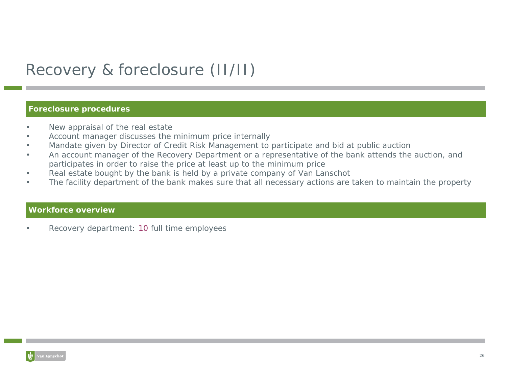# Recovery & foreclosure (II/II)

### **Foreclosure procedures**

- •New appraisal of the real estate
- •Account manager discusses the minimum price internally
- •Mandate given by Director of Credit Risk Management to participate and bid at public auction
- • An account manager of the Recovery Department or a representative of the bank attends the auction, and participates in order to raise the price at least up to the minimum price
- •Real estate bought by the bank is held by a private company of Van Lanschot
- •The facility department of the bank makes sure that all necessary actions are taken to maintain the property

### **Workforce overview**

•Recovery department: 10 full time employees

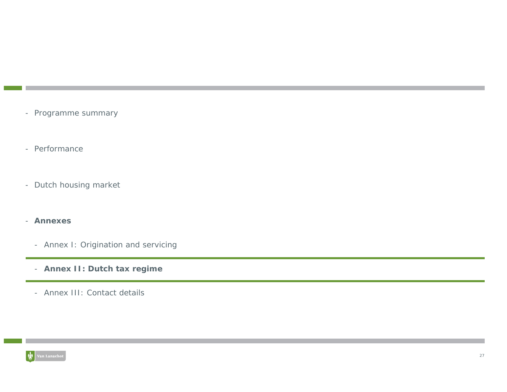- Programme summary
- Performance
- Dutch housing market
- **Annexes**
	- Annex I: Origination and servicing
	- **Annex II: Dutch tax regime**
	- Annex III: Contact details

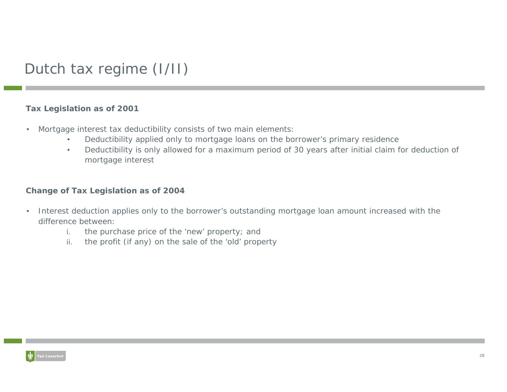## Dutch tax regime (I/II)

### **Tax Legislation as of 2001**

- • Mortgage interest tax deductibility consists of two main elements:
	- •Deductibility applied only to mortgage loans on the borrower's primary residence
	- • Deductibility is only allowed for a maximum period of 30 years after initial claim for deduction of mortgage interest

### **Change of Tax Legislation as of 2004**

- • Interest deduction applies only to the borrower's outstanding mortgage loan amount increased with the difference between:
	- i.the purchase price of the 'new' property; and
	- ii.the profit (if any) on the sale of the 'old' property

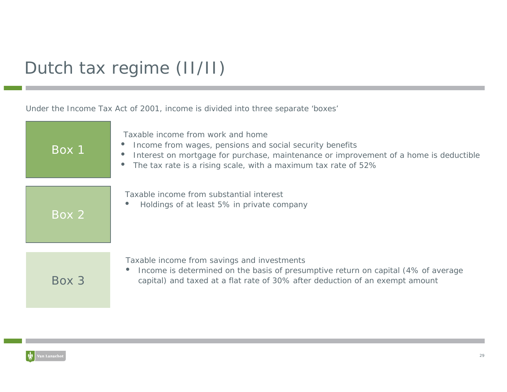# Dutch tax regime (II/II)

Under the Income Tax Act of 2001, income is divided into three separate 'boxes'

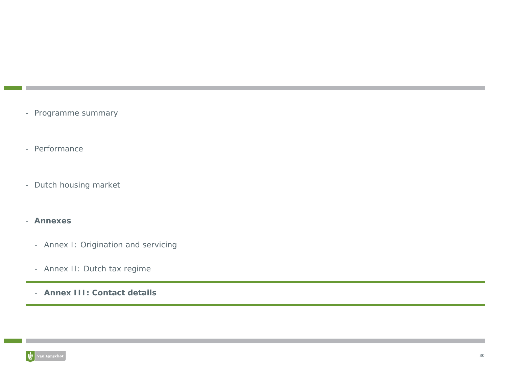- Programme summary
- Performance
- Dutch housing market
- **Annexes**
	- Annex I: Origination and servicing
	- Annex II: Dutch tax regime
	- **Annex III: Contact details**

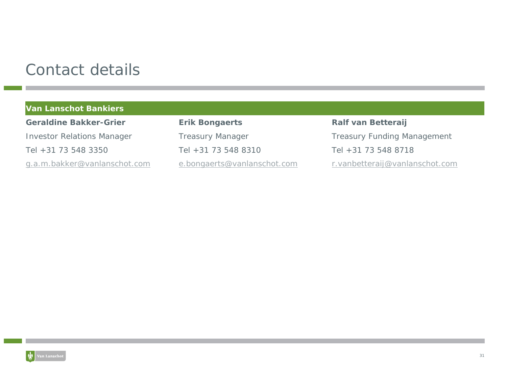# Contact details

|  | <b>Van Lanschot Bankiers</b> |
|--|------------------------------|
|  |                              |

**Geraldine Bakker-Grier**Tel +31 73 548 3350

**Erik Bongaerts Ralf van Betteraij** Tel +31 73 548 8310 Tel +31 73 548 8718

Investor Relations Manager Treasury Manager Treasury Treasury Funding Management g.a.m.bakker@vanlanschot.com e.bongaerts@vanlanschot.com r.vanbetteraij@vanlanschot.com

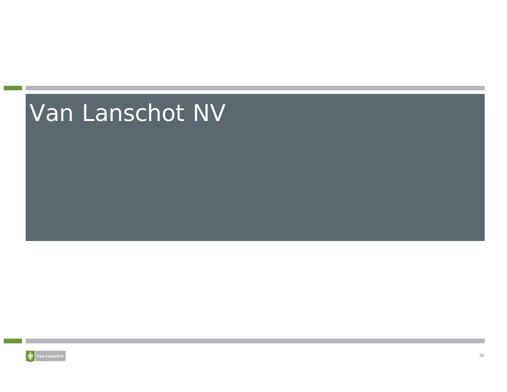# Van Lanschot NV